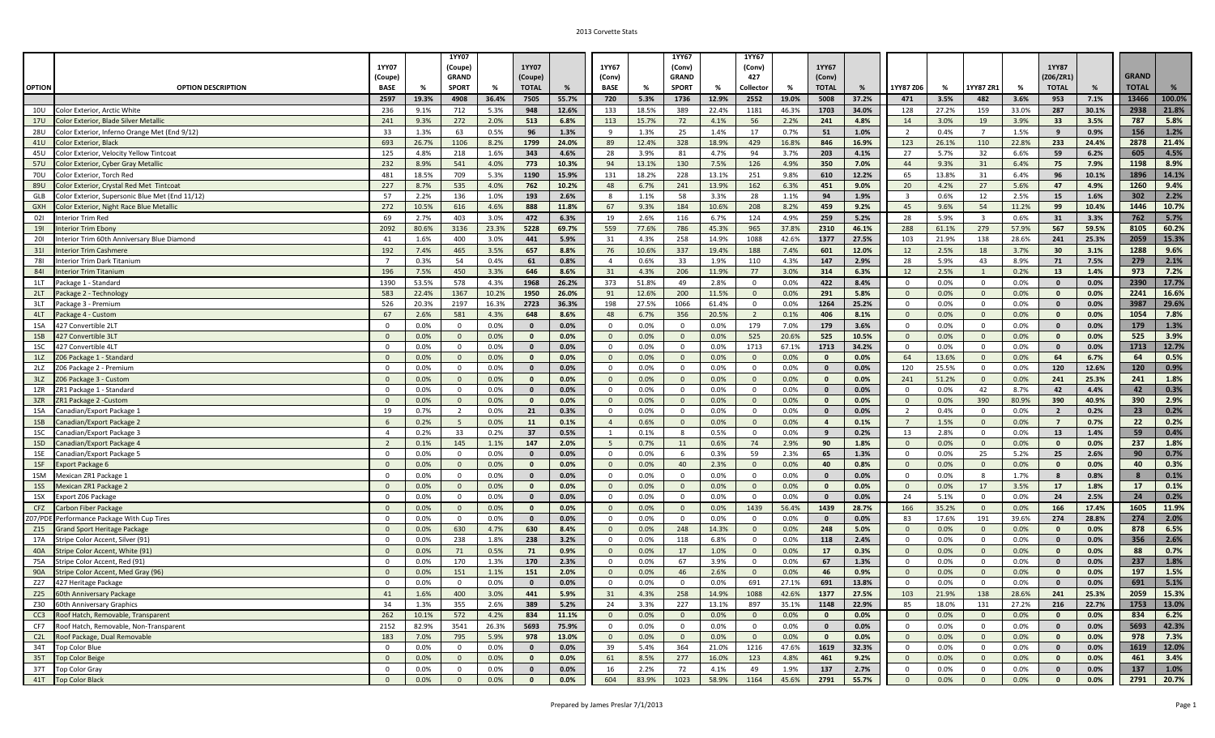|               |                                                                                 |                      |              | 1YY07          |              |              |               |                      |               | 1YY67          |                | 1YY67                    |                |                |                |                         |                |                                  |                |                             |                |              |               |
|---------------|---------------------------------------------------------------------------------|----------------------|--------------|----------------|--------------|--------------|---------------|----------------------|---------------|----------------|----------------|--------------------------|----------------|----------------|----------------|-------------------------|----------------|----------------------------------|----------------|-----------------------------|----------------|--------------|---------------|
|               |                                                                                 | <b>1YY07</b>         |              | (Coupe)        |              | 1YY07        |               | 1YY67                |               | (Conv)         |                | (Conv)                   |                | 1YY67          |                |                         |                |                                  |                | 1YY87                       |                |              |               |
|               |                                                                                 | (Coupe)              |              | <b>GRAND</b>   |              | (Coupe)      |               | (Conv)               |               | <b>GRAND</b>   |                | 427                      |                | (Conv)         |                |                         |                |                                  |                | (Z06/ZR1)                   |                | <b>GRAND</b> |               |
| <b>OPTION</b> | <b>OPTION DESCRIPTION</b>                                                       | <b>BASE</b>          | %            | <b>SPORT</b>   | %            | <b>TOTAL</b> |               | <b>BASE</b>          |               | <b>SPORT</b>   | %              | Collector                |                | <b>TOTAL</b>   | %              | 1YY87 Z06               | %              | 1YY87 ZR1                        | %              | <b>TOTAL</b>                | %              | <b>TOTAL</b> | %             |
|               |                                                                                 | 2597                 | 19.3%        | 4908           | 36.4%        | 7505         | 55.7%         | 720                  | 5.3%          | 1736           | 12.9%          | 2552                     | 19.0%          | 5008           | 37.2%          | 471                     | 3.5%           | 482                              | 3.6%           | 953                         | 7.1%           | 13466        | 100.0%        |
| 10U           | Color Exterior, Arctic White                                                    | 236                  | 9.1%         | 712            | 5.3%         | 948          | 12.6%         | 133                  | 18.5%         | 389            | 22.4%          | 1181                     | 46.3%          | 1703           | 34.0%          | 128                     | 27.2%          | 159                              | 33.0%          | 287                         | 30.1%          | 2938         | 21.8%         |
| <b>17U</b>    | Color Exterior, Blade Silver Metallic                                           | 241                  | 9.3%         | 272            | 2.0%         | 513          | 6.8%          | 113                  | 15.7%         | 72             | 4.1%           | 56                       | 2.2%           | 241            | 4.8%           | 14                      | 3.0%           | 19                               | 3.9%           | 33                          | 3.5%           | 787          | 5.8%          |
| <b>28U</b>    | Color Exterior, Inferno Orange Met (End 9/12)                                   | 33                   | 1.3%         | 63             | 0.5%         | 96           | 1.3%          | $\mathbf{q}$         | 1.3%          | 25             | 1.4%           | 17                       | 0.7%           | 51             | 1.0%           | $\overline{2}$          | 0.4%           | $\overline{7}$                   | 1.5%           | 9                           | 0.9%           | 156          | 1.2%          |
| 41U           | Color Exterior, Black                                                           | 693                  | 26.7%        | 1106           | 8.2%<br>1.6% | 1799         | 24.0%         | 89                   | 12.4%         | 328            | 18.9%          | 429                      | 16.8%          | 846            | 16.9%          | 123                     | 26.1%          | 110                              | 22.8%          | 233                         | 24.4%          | 2878<br>605  | 21.4%<br>4.5% |
| 45U<br>57U    | Color Exterior, Velocity Yellow Tintcoat<br>Color Exterior, Cyber Gray Metallic | 125<br>232           | 4.8%<br>8.9% | 218<br>541     | 4.0%         | 343<br>773   | 4.6%<br>10.3% | 28<br>94             | 3.9%<br>13.1% | 81<br>130      | 4.7%<br>7.5%   | 94<br>126                | 3.7%<br>4.9%   | 203<br>350     | 4.1%<br>7.0%   | 27<br>44                | 5.7%<br>9.3%   | 32<br>31                         | 6.6%<br>6.4%   | 59<br>75                    | 6.2%<br>7.9%   | 1198         | 8.9%          |
| 70U           | Color Exterior, Torch Red                                                       | 481                  | 18.5%        | 709            | 5.3%         | 1190         | 15.9%         | 131                  | 18.2%         | 228            | 13.1%          | 251                      | 9.8%           | 610            | 12.2%          | 65                      | 13.8%          | 31                               | 6.4%           | 96                          | 10.1%          | 1896         | 14.1%         |
| 89U           | Color Exterior, Crystal Red Met Tintcoat                                        | 227                  | 8.7%         | 535            | 4.0%         | 762          | 10.2%         | 48                   | 6.7%          | 241            | 13.9%          | 162                      | 6.3%           | 451            | 9.0%           | 20                      | 4.2%           | 27                               | 5.6%           | 47                          | 4.9%           | 1260         | 9.4%          |
| GLB           | Color Exterior, Supersonic Blue Met (End 11/12)                                 | 57                   | 2.2%         | 136            | 1.0%         | 193          | 2.6%          | -8                   | 1.1%          | 58             | 3.3%           | 28                       | 1.1%           | 94             | 1.9%           | $\overline{\mathbf{3}}$ | 0.6%           | 12                               | 2.5%           | 15                          | 1.6%           | 302          | 2.2%          |
| <b>GXH</b>    | Color Exterior, Night Race Blue Metallic                                        | 272                  | 10.5%        | 616            | 4.6%         | 888          | 11.8%         | 67                   | 9.3%          | 184            | 10.6%          | 208                      | 8.2%           | 459            | 9.2%           | 45                      | 9.6%           | 54                               | 11.2%          | 99                          | 10.4%          | 1446         | 10.7%         |
| 021           | Interior Trim Red                                                               | 69                   | 2.7%         | 403            | 3.0%         | 472          | 6.3%          | 19                   | 2.6%          | 116            | 6.7%           | 124                      | 4.9%           | 259            | 5.2%           | 28                      | 5.9%           | $\overline{\mathbf{3}}$          | 0.6%           | 31                          | 3.3%           | 762          | 5.7%          |
| 191           | nterior Trim Ebony                                                              | 2092                 | 80.6%        | 3136           | 23.3%        | 5228         | 69.7%         | 559                  | 77.6%         | 786            | 45.3%          | 965                      | 37.8%          | 2310           | 46.1%          | 288                     | 61.1%          | 279                              | 57.9%          | 567                         | 59.5%          | 8105         | 60.2%         |
| 201           | nterior Trim 60th Anniversary Blue Diamond                                      | 41                   | 1.6%         | 400            | 3.0%         | 441          | 5.9%          | 31                   | 4.3%          | 258            | 14.9%          | 1088                     | 42.6%          | 1377           | 27.5%          | 103                     | 21.9%          | 138                              | 28.6%          | 241                         | 25.3%          | 2059         | 15.3%         |
| 311           | nterior Trim Cashmere                                                           | 192                  | 7.4%         | 465            | 3.5%         | 657          | 8.8%          | 76                   | 10.6%         | 337            | 19.4%          | 188                      | 7.4%           | 601            | 12.0%          | 12                      | 2.5%           | 18                               | 3.7%           | 30                          | 3.1%           | 1288         | 9.6%          |
| 781           | nterior Trim Dark Titanium                                                      | $\overline{7}$       | 0.3%         | 54             | 0.4%         | 61           | 0.8%          | $\overline{4}$       | 0.6%          | 33             | 1.9%           | 110                      | 4.3%           | 147            | 2.9%           | 28                      | 5.9%           | 43                               | 8.9%           | 71                          | 7.5%           | 279          | 2.1%          |
| 841           | nterior Trim Titanium                                                           | 196                  | 7.5%         | 450            | 3.3%         | 646          | 8.6%          | 31                   | 4.3%          | 206            | 11.9%          | 77                       | 3.0%           | 314            | 6.3%           | 12                      | 2.5%           | $\overline{1}$                   | 0.2%           | 13                          | 1.4%           | 973          | 7.2%          |
| 1LT           | Package 1 - Standard                                                            | 1390                 | 53.5%        | 578            | 4.3%         | 1968         | 26.2%         | 373                  | 51.8%         | 49             | 2.8%           | $^{\circ}$               | 0.0%           | 422            | 8.4%           | $\overline{0}$          | 0.0%           | $\overline{0}$                   | 0.0%           | $\mathbf{0}$                | 0.0%           | 2390         | 17.7%         |
| 2LT           | Package 2 - Technology                                                          | 583                  | 22.4%        | 1367           | 10.2%        | 1950         | 26.0%         | 91                   | 12.6%         | 200            | 11.5%          |                          | 0.0%           | 291            | 5.8%           | $\Omega$                | 0.0%           | $\overline{0}$                   | 0.0%           | $\mathbf{0}$                | 0.0%           | 2241         | 16.6%         |
| 3LT           | Package 3 - Premium                                                             | 526                  | 20.3%        | 2197           | 16.3%        | 2723         | 36.3%         | 198                  | 27.5%         | 1066           | 61.4%          | $\Omega$                 | 0.0%           | 1264           | 25.2%          | $\mathbf 0$             | 0.0%           | $\overline{0}$                   | 0.0%           | $\mathbf{0}$                | 0.0%           | 3987         | 29.6%         |
| 4LT           | Package 4 - Custom                                                              | 67                   | 2.6%         | 581            | 4.3%         | 648          | 8.6%          | 48                   | 6.7%          | 356            | 20.5%          | -2                       | 0.1%           | 406            | 8.1%           | $\Omega$                | 0.0%           | $\overline{0}$                   | 0.0%           | $\mathbf{0}$                | 0.0%           | 1054         | 7.8%          |
| 1SA           | 427 Convertible 2L1                                                             | $\Omega$             | 0.0%         | $\overline{0}$ | 0.0%         | $\mathbf{0}$ | 0.0%          | $\Omega$             | 0.0%          | $\mathbf{0}$   | 0.0%           | 179                      | 7.0%           | 179            | 3.6%           | $\Omega$                | 0.0%           | $\overline{0}$                   | 0.0%           | $\mathbf{0}$                | 0.0%           | 179          | 1.3%          |
| 1SB           | 427 Convertible 3L1                                                             | $\Omega$             | 0.0%         | $\mathbf{0}$   | 0.0%         | $\mathbf{0}$ | 0.0%          | $\Omega$             | 0.0%          | $\overline{0}$ | 0.0%           | 525                      | 20.6%          | 525            | 10.5%          | $\Omega$                | 0.0%           | $\Omega$                         | 0.0%           | $\mathbf{0}$                | 0.0%           | 525          | 3.9%          |
| 1SC           | 427 Convertible 4L1                                                             | $\Omega$             | 0.0%         | $\mathbf{0}$   | 0.0%         | $\mathbf{0}$ | 0.0%          | $\Omega$             | 0.0%          | $\mathbf{0}$   | 0.0%           | 1713                     | 67.1%          | 1713           | 34.2%          | $\Omega$                | 0.0%           | $\overline{0}$                   | 0.0%           | $\mathbf{0}$                | 0.0%           | 1713         | 12.7%         |
| 1LZ           | Z06 Package 1 - Standard                                                        | $\Omega$             | 0.0%         | $\Omega$       | 0.0%         | $\mathbf{0}$ | 0.0%          | $\Omega$             | 0.0%          | $\overline{0}$ | 0.0%           | $\Omega$                 | 0.0%           | $\mathbf{0}$   | 0.0%           | 64                      | 13.6%          | $\overline{0}$                   | 0.0%           | 64                          | 6.7%           | 64           | 0.5%          |
| 2LZ           | Z06 Package 2 - Premiun                                                         | $\overline{0}$       | 0.0%         | $\overline{0}$ | 0.0%         | $\mathbf{0}$ | 0.0%          | $\Omega$             | 0.0%          | $\mathbf{0}$   | 0.0%           | $\overline{0}$           | 0.0%           | $\mathbf{0}$   | 0.0%           | 120                     | 25.5%          | $\overline{0}$                   | 0.0%           | 120                         | 12.6%          | 120          | 0.9%          |
| 3LZ           | Z06 Package 3 - Custom                                                          | $\overline{0}$       | 0.0%         | $\overline{0}$ | 0.0%         | $\mathbf{0}$ | 0.0%          | $\overline{0}$       | 0.0%          | $\overline{0}$ | 0.0%           | $\overline{0}$           | 0.0%           | $\bf{0}$       | 0.0%           | 241                     | 51.2%          | $\overline{0}$                   | 0.0%           | 241                         | 25.3%          | 241          | 1.8%          |
| 1ZR           | ZR1 Package 1 - Standard                                                        | $\overline{0}$       | 0.0%         | $\mathbf 0$    | 0.0%         | $\mathbf{0}$ | 0.0%          | $\Omega$             | 0.0%          | $\mathbf{0}$   | 0.0%           | $\mathbf 0$              | 0.0%           | $\mathbf{0}$   | 0.0%           | $\Omega$                | 0.0%           | 42                               | 8.7%           | 42                          | 4.4%           | 42           | 0.3%          |
| 3ZR           | ZR1 Package 2 - Custom                                                          | $\overline{0}$       | 0.0%         | $\Omega$       | 0.0%         | $\mathbf{0}$ | 0.0%          | $\Omega$             | 0.0%          | $\overline{0}$ | 0.0%           | $\Omega$                 | 0.0%           | $\mathbf{0}$   | 0.0%           | $\Omega$                | 0.0%           | 390                              | 80.9%          | 390                         | 40.9%          | 390          | 2.9%          |
| 1SA           | Canadian/Export Package 1                                                       | 19                   | 0.7%         | $\overline{2}$ | 0.0%         | 21           | 0.3%          | $\Omega$             | 0.0%          | $\overline{0}$ | 0.0%           | $\mathbf 0$              | 0.0%           | $\mathbf{0}$   | 0.0%           | $\overline{2}$          | 0.4%           | $\overline{\mathbf{0}}$          | 0.0%           | $\overline{2}$              | 0.2%           | 23           | 0.2%          |
| 1SB           | Canadian/Export Package 2                                                       | 6                    | 0.2%         | 5              | 0.0%         | 11           | 0.1%          | $\overline{4}$       | 0.6%          | $\overline{0}$ | 0.0%           | $\mathbf{0}$             | 0.0%           | $\overline{a}$ | 0.1%           | $7\overline{ }$         | 1.5%           | $\overline{0}$                   | 0.0%           | $\overline{7}$              | 0.7%           | 22           | 0.2%          |
| 1SC           | Canadian/Export Package 3                                                       | $\overline{4}$       | 0.2%         | 33             | 0.2%         | 37           | 0.5%          | $\overline{1}$       | 0.1%          | 8              | 0.5%           | $\Omega$                 | 0.0%           | 9              | 0.2%           | 13                      | 2.8%           | $\overline{\mathbf{0}}$          | 0.0%           | 13                          | 1.4%           | 59           | 0.4%          |
| 1SD           | Canadian/Export Package 4                                                       | $\overline{2}$       | 0.1%         | 145            | 1.1%         | 147          | 2.0%          | -5                   | 0.7%          | 11             | 0.6%           | 74                       | 2.9%           | 90             | 1.8%           | $\Omega$                | 0.0%           | $\overline{0}$                   | 0.0%           | $\mathbf{0}$                | 0.0%           | 237          | 1.8%          |
| 1SE           | Canadian/Export Package 5                                                       | $\overline{0}$       | 0.0%         | $\mathbf 0$    | 0.0%         | $\mathbf{0}$ | 0.0%          | $\Omega$             | 0.0%          | 6              | 0.3%           | 59                       | 2.3%           | 65             | 1.3%           | $\Omega$                | 0.0%           | 25                               | 5.2%           | 25                          | 2.6%           | 90           | 0.7%          |
| 1SF           | <b>Export Package 6</b>                                                         | $\overline{0}$       | 0.0%         | $\overline{0}$ | 0.0%         | $\mathbf{0}$ | 0.0%          | $\Omega$             | 0.0%          | 40             | 2.3%           | $\Omega$                 | 0.0%           | 40             | 0.8%           | $\Omega$                | 0.0%           | $\overline{0}$                   | 0.0%           | $\mathbf{0}$                | 0.0%           | 40           | 0.3%          |
| 1SM           | Mexican ZR1 Package 1                                                           | $\overline{0}$       | 0.0%         | $\mathbf 0$    | 0.0%         | $\mathbf{0}$ | 0.0%          | $\Omega$             | 0.0%          | $\mathbf{0}$   | 0.0%           | $\Omega$                 | 0.0%           | $\mathbf{0}$   | 0.0%           | $\Omega$                | 0.0%           | 8                                | 1.7%           | 8                           | 0.8%           | -8           | 0.1%          |
| 1SS           | Mexican ZR1 Package 2                                                           | $\overline{0}$       | 0.0%         | $\Omega$       | 0.0%         | $\mathbf{0}$ | 0.0%          | $\Omega$             | 0.0%          | $\overline{0}$ | 0.0%           | $\Omega$                 | 0.0%           | $\mathbf{0}$   | 0.0%           | $\overline{0}$          | 0.0%           | 17                               | 3.5%           | 17                          | 1.8%           | 17           | 0.1%          |
| 1SX           | Export Z06 Package                                                              | $\Omega$             | 0.0%         | $\mathbf 0$    | 0.0%         | $\mathbf{0}$ | 0.0%          | $\Omega$             | 0.0%          | $\overline{0}$ | 0.0%           | $\Omega$                 | 0.0%           | $\mathbf{0}$   | 0.0%           | 24                      | 5.1%           | $\Omega$                         | 0.0%           | 24                          | 2.5%           | 24           | 0.2%          |
| CFZ           | Carbon Fiber Package                                                            | $\overline{0}$       | 0.0%         | $\overline{0}$ | 0.0%         | $\mathbf{0}$ | 0.0%          | $\Omega$             | 0.0%          | $\overline{0}$ | 0.0%           | 1439                     | 56.4%          | 1439           | 28.7%          | 166                     | 35.2%          | $\overline{0}$                   | 0.0%           | 166                         | 17.4%          | 1605         | 11.9%         |
| Z07/PDE       | Performance Package With Cup Tires                                              | $\overline{0}$       | 0.0%         | $\mathbf 0$    | 0.0%         | $\mathbf{0}$ | 0.0%          | $\Omega$             | 0.0%          | $\mathbf 0$    | 0.0%           | $\Omega$                 | 0.0%           | $\mathbf{0}$   | 0.0%           | 83                      | 17.6%          | 191                              | 39.6%          | 274                         | 28.8%          | 274          | 2.0%          |
| Z15           | <b>Grand Sport Heritage Package</b>                                             | $\overline{0}$       | 0.0%         | 630            | 4.7%         | 630          | 8.4%          | $\Omega$             | 0.0%          | 248            | 14.3%          | $\Omega$                 | 0.0%           | 248            | 5.0%           | $\Omega$                | 0.0%           | $\overline{0}$                   | 0.0%           | $\mathbf{0}$                | 0.0%           | 878          | 6.5%          |
| 17A           | tripe Color Accent, Silver (91)                                                 | $\Omega$<br>$\Omega$ | 0.0%         | 238            | 1.8%         | 238          | 3.2%          | $\Omega$             | 0.0%          | 118            | 6.8%           | $\Omega$                 | 0.0%           | 118            | 2.4%           | $\Omega$<br>$\Omega$    | 0.0%           | $\Omega$                         | 0.0%           | $\mathbf 0$<br>$\mathbf{0}$ | 0.0%           | 356          | 2.6%          |
| 40A<br>75A    | Stripe Color Accent, White (91)                                                 | $\Omega$             | 0.0%         | 71<br>170      | 0.5%<br>1.3% | 71<br>170    | 0.9%<br>2.3%  | $\Omega$<br>$\Omega$ | 0.0%<br>0.0%  | 17<br>67       | 1.0%<br>3.9%   | $\mathbf{0}$<br>$\Omega$ | 0.0%<br>0.0%   | 17<br>67       | 0.3%<br>1.3%   | $\Omega$                | 0.0%<br>0.0%   | $\overline{0}$<br>$\overline{0}$ | 0.0%<br>0.0%   | $\mathbf{0}$                | 0.0%           | 88<br>237    | 0.7%<br>1.8%  |
| 90A           | Stripe Color Accent, Red (91)                                                   | $\Omega$             | 0.0%<br>0.0% | 151            | 1.1%         | 151          | 2.0%          | $\Omega$             | 0.0%          | 46             | 2.6%           | $\Omega$                 | 0.0%           | 46             | 0.9%           | $\Omega$                | 0.0%           | $\Omega$                         | 0.0%           | $\mathbf{0}$                | 0.0%<br>0.0%   | 197          | 1.5%          |
| Z27           | Stripe Color Accent, Med Gray (96)<br>427 Heritage Package                      | $\Omega$             | 0.0%         | $\mathbf 0$    | 0.0%         | $\mathbf{0}$ | 0.0%          | $\Omega$             | 0.0%          | $\mathbf 0$    | 0.0%           | 691                      | 27.1%          | 691            | 13.8%          | $\mathbf 0$             | 0.0%           | $\mathbf{0}$                     | 0.0%           | $\mathbf{0}$                | 0.0%           | 691          | 5.1%          |
|               | Z25 60th Anniversary Package                                                    | 41                   |              |                |              |              |               |                      |               |                |                |                          |                |                |                |                         |                |                                  |                |                             |                |              | 15.3%         |
| Z30           | 60th Anniversary Graphics                                                       | 34                   | 1.6%<br>1.3% | 400<br>355     | 3.0%<br>2.6% | 441<br>389   | 5.9%<br>5.2%  | 31<br>24             | 4.3%<br>3.3%  | 258<br>227     | 14.9%<br>13.1% | 1088<br>897              | 42.6%<br>35.1% | 1377<br>1148   | 27.5%<br>22.9% | 103<br>85               | 21.9%<br>18.0% | 138<br>131                       | 28.6%<br>27.2% | - 241<br>216                | 25.3%<br>22.7% | 2059<br>1753 | 13.0%         |
|               | CC3 Roof Hatch, Removable, Transparent                                          | 262                  | 10.1%        | 572            | 4.2%         | 834          | 11.1%         | $\overline{0}$       | 0.0%          | $\overline{0}$ | 0.0%           | $\overline{0}$           | 0.0%           | $\bullet$      | $0.0\%$        | $\overline{0}$          | 0.0%           | $\overline{0}$                   | 0.0%           | $\bullet$                   | 0.0%           | 834          | 6.2%          |
| CF7           | Roof Hatch, Removable, Non-Transparent                                          | 2152                 | 82.9%        | 3541           | 26.3%        | 5693         | 75.9%         | $\mathbf 0$          | 0.0%          | $\overline{0}$ | 0.0%           | $\mathbf 0$              | 0.0%           | $\bullet$      | $0.0\%$        | $\mathbf{0}$            | 0.0%           | $\overline{0}$                   | 0.0%           | $\mathbf{0}$                | 0.0%           | 5693         | 42.3%         |
| C2L           | Roof Package, Dual Removable                                                    | 183                  | 7.0%         | 795            | 5.9%         | 978          | 13.0%         | $\overline{0}$       | 0.0%          | $\overline{0}$ | 0.0%           | $\overline{0}$           | 0.0%           | $\bullet$      | 0.0%           | $\overline{0}$          | 0.0%           | $\overline{0}$                   | 0.0%           | $\mathbf{0}$                | 0.0%           | 978          | 7.3%          |
| 34T           | Top Color Blue                                                                  | $\overline{0}$       | 0.0%         | $\overline{0}$ | 0.0%         | $\bf{0}$     | 0.0%          | 39                   | 5.4%          | 364            | 21.0%          | 1216                     | 47.6%          | 1619           | 32.3%          | $\mathbf{0}$            | 0.0%           | $\overline{0}$                   | 0.0%           | $\mathbf{0}$                | 0.0%           | 1619         | 12.0%         |
|               | 35T Top Color Beige                                                             | $\overline{0}$       | 0.0%         | $\overline{0}$ | 0.0%         | $\bullet$    | 0.0%          | 61                   | 8.5%          | 277            | 16.0%          | 123                      | 4.8%           | 461            | 9.2%           | $\overline{0}$          | 0.0%           | $\overline{0}$                   | 0.0%           | $\bullet$                   | 0.0%           | 461          | 3.4%          |
| 37T           | Top Color Gray                                                                  | $\overline{0}$       | 0.0%         | $\mathbf{0}$   | 0.0%         | $\bullet$    | $0.0\%$       | 16                   | 2.2%          | 72             | 4.1%           | 49                       | 1.9%           | 137            | 2.7%           | $\mathbf{0}$            | 0.0%           | $\overline{0}$                   | 0.0%           | $\mathbf{0}$                | 0.0%           | 137          | 1.0%          |
|               | 41T Top Color Black                                                             | $\overline{0}$       | 0.0%         | $\overline{0}$ | 0.0%         | $\bullet$    | $0.0\%$       | 604                  | 83.9%         | 1023           | 58.9%          | 1164                     | 45.6%          | 2791           | 55.7%          | $\overline{\mathbf{0}}$ | 0.0%           | $\overline{0}$                   | 0.0%           | $\mathbf{0}$                | $0.0\%$        | 2791         | 20.7%         |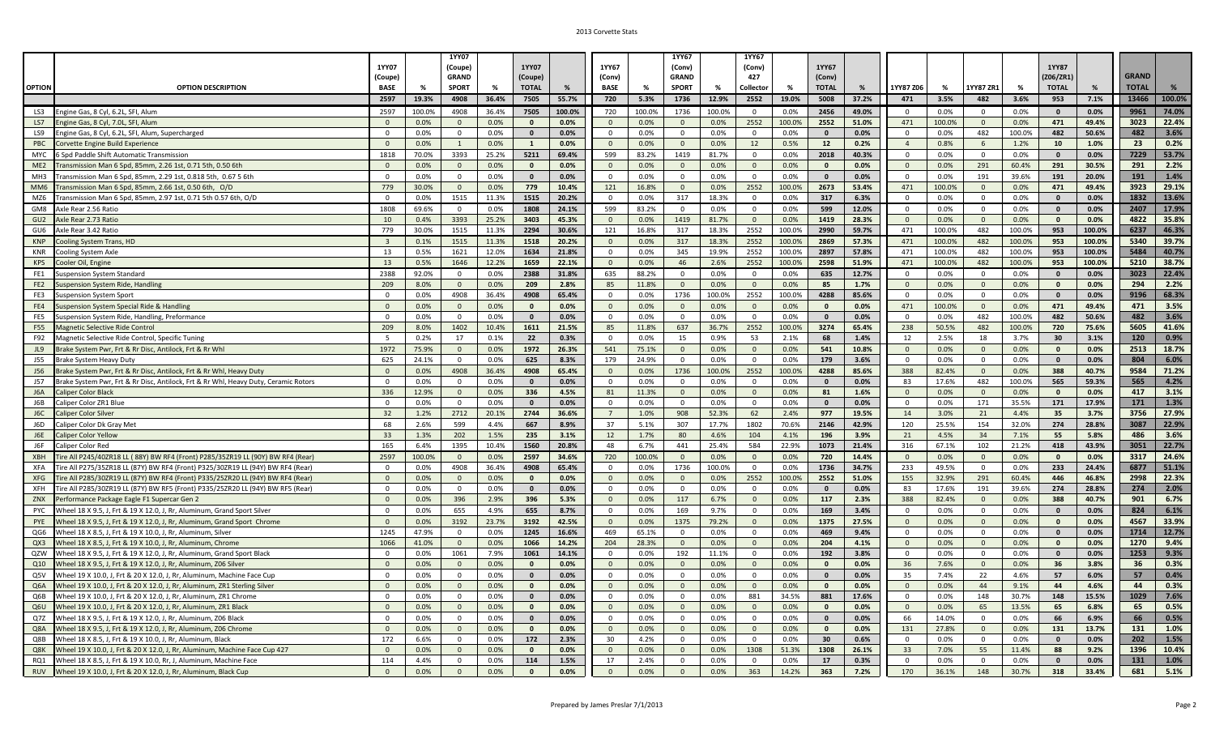|                 |                                                                                                                                          |                                  |              | <b>1YY07</b>               |               |                              |               |                                |               | 1YY67                          |                | 1YY67                    |                |                     |               |                     |                |                               |                  |                     |               |              |               |
|-----------------|------------------------------------------------------------------------------------------------------------------------------------------|----------------------------------|--------------|----------------------------|---------------|------------------------------|---------------|--------------------------------|---------------|--------------------------------|----------------|--------------------------|----------------|---------------------|---------------|---------------------|----------------|-------------------------------|------------------|---------------------|---------------|--------------|---------------|
|                 |                                                                                                                                          | 1YY07                            |              | (Coupe)                    |               | 1YY07                        |               | 1YY67                          |               | (Conv)                         |                | (Conv)                   |                | 1YY67               |               |                     |                |                               |                  | 1YY87               |               |              |               |
|                 |                                                                                                                                          | (Coupe)                          |              | <b>GRAND</b>               |               | (Coupe)                      |               | (Conv)                         |               | <b>GRAND</b>                   |                | 427                      |                | (Conv)              |               |                     |                |                               |                  | Z06/ZR1)            |               | <b>GRAND</b> |               |
| <b>OPTION</b>   | <b>OPTION DESCRIPTION</b>                                                                                                                | <b>BASE</b>                      | %            | <b>SPORT</b>               | %             | <b>TOTAL</b>                 | %             | <b>BASE</b>                    | %             | <b>SPORT</b>                   | %              | Collector                | %              | <b>TOTAL</b>        | %             | 1YY87 Z06           | %              | LYY87 ZR1                     | %                | <b>TOTAL</b>        | %             | <b>TOTAL</b> |               |
|                 |                                                                                                                                          | 2597                             | 19.3%        | 4908                       | 36.4%         | 7505                         | 55.7%         | 720                            | 5.3%          | 1736                           | 12.9%          | 2552                     | 19.0%          | 5008                | 37.2%         | 471                 | 3.5%           | 482                           | 3.6%             | 953                 | 7.1%          | 13466        | 100.0%        |
| LS3             | Engine Gas, 8 Cyl, 6.2L, SFI, Alum                                                                                                       | 2597                             | 100.0%       | 4908                       | 36.4%         | 7505                         | 100.0%        | 720                            | 100.0%        | 1736                           | 100.0%         | $\overline{0}$           | 0.0%           | 2456                | 49.0%         | $\overline{0}$      | 0.0%           | $\mathbf{0}$                  | 0.0%             | $\mathbf{0}$        | 0.0%          | 9961         | 74.0%         |
| LS7             | ngine Gas, 8 Cyl, 7.0L, SFI, Alum                                                                                                        | $\mathbf{0}$                     | 0.0%         | $\Omega$                   | 0.0%          | $\mathbf{0}$                 | 0.0%          | $\mathbf{0}$                   | 0.0%          | $\overline{0}$                 | 0.0%           | 2552                     | 100.0%         | 2552                | 51.0%         | 471                 | 100.0%         | $\overline{0}$                | 0.0%             | 471                 | 49.4%         | 3023         | 22.4%         |
| LS9             | Engine Gas, 8 Cyl, 6.2L, SFI, Alum, Supercharged                                                                                         | $\Omega$                         | 0.0%         | $\mathbf 0$                | 0.0%          | $\mathbf{0}$                 | 0.0%          | $\mathbf{0}$                   | 0.0%          | $\mathbf 0$                    | 0.0%           | $\overline{0}$           | 0.0%           | $\mathbf{0}$        | 0.0%          | $\mathbf{0}$        | 0.0%           | 482                           | 100.0%           | 482                 | 50.6%         | 482          | 3.6%          |
| <b>PBC</b>      | Corvette Engine Build Experience                                                                                                         | $\Omega$                         | 0.0%         |                            | 0.0%          | $\mathbf{1}$                 | 0.0%          | $\overline{0}$                 | 0.0%          | $\overline{0}$                 | 0.0%           | 12                       | 0.5%           | 12                  | 0.2%          | $\overline{4}$      | 0.8%           | 6                             | 1.2%             | 10                  | 1.0%          | 23           | 0.2%          |
| <b>MYC</b>      | Spd Paddle Shift Automatic Transmission                                                                                                  | 1818                             | 70.0%        | 3393                       | 25.2%         | 5211                         | 69.4%         | 599                            | 83.2%         | 1419                           | 81.7%          | $\Omega$                 | 0.0%           | 2018                | 40.3%         | $\mathbf{0}$        | 0.0%           | $\mathbf 0$                   | 0.0%             | $\mathbf{0}$        | 0.0%          | 7229         | 53.7%         |
| ME <sub>2</sub> | ransmission Man 6 Spd, 85mm, 2.26 1st, 0.71 5th, 0.50 6th                                                                                | $\Omega$                         | 0.0%         | $\mathbf{0}$               | 0.0%          | $\mathbf{0}$                 | 0.0%          | $\mathbf{0}$                   | 0.0%          | $\overline{0}$                 | 0.0%           | $\mathbf{0}$             | 0.0%           | $\mathbf{0}$        | 0.0%          | $\mathbf{0}$        | 0.0%           | 291                           | 60.4%            | 291                 | 30.5%         | 291          | 2.2%          |
| MH3             | Transmission Man 6 Spd, 85mm, 2.29 1st, 0.818 5th, 0.67 5 6th                                                                            | $\mathbf{0}$                     | 0.0%         | $\overline{0}$             | 0.0%          | $\mathbf{0}$                 | 0.0%          | $\mathbf{0}$                   | 0.0%          | $\overline{0}$                 | 0.0%           | $\overline{0}$           | 0.0%           | $\mathbf{0}$        | 0.0%          | $\mathbf{0}$        | 0.0%           | 191                           | 39.6%            | 191                 | 20.0%         | 191          | 1.4%          |
| MM <sub>6</sub> | ransmission Man 6 Spd, 85mm, 2.66 1st, 0.50 6th, O/D                                                                                     | 779                              | 30.0%        | $\Omega$                   | 0.0%          | 779                          | 10.4%         | 121                            | 16.8%         | $\overline{0}$                 | 0.0%           | 2552                     | 100.0%         | 2673                | 53.4%         | 471                 | 100.0%         | $\overline{0}$                | 0.0%             | 471                 | 49.4%         | 3923         | 29.1%         |
| MZ6             | Transmission Man 6 Spd, 85mm, 2.97 1st, 0.71 5th 0.57 6th, O/D                                                                           | $\Omega$                         | 0.0%         | 1515                       | 11.3%         | 1515                         | 20.2%         | $\overline{0}$                 | 0.0%          | 317                            | 18.3%          | $\mathbf{0}$             | 0.0%           | 317                 | 6.3%          | $\Omega$            | 0.0%           | $\mathbf 0$                   | 0.0%             | $\mathbf{0}$        | 0.0%          | 1832         | 13.6%         |
| GM8             | Axle Rear 2.56 Ratio                                                                                                                     | 1808                             | 69.6%        | $\mathbf 0$                | 0.0%          | 1808                         | 24.1%         | 599                            | 83.2%         | $\mathbf 0$                    | 0.0%           | $\overline{0}$           | 0.0%           | 599                 | 12.0%         | $\mathbf 0$         | 0.0%           | $\mathbf 0$                   | 0.0%             | $\mathbf{0}$        | 0.0%          | 2407         | 17.9%         |
| GU2             | Axle Rear 2.73 Ratio                                                                                                                     | 10                               | 0.4%         | 3393                       | 25.2%         | 3403                         | 45.3%         | $\overline{0}$                 | 0.0%          | 1419                           | 81.7%          | $\Omega$                 | 0.0%           | 1419                | 28.3%         | $\Omega$            | 0.0%           | $\overline{0}$                | 0.0%             | $\mathbf{0}$        | 0.0%          | 4822         | 35.8%         |
| GU <sub>6</sub> | Axle Rear 3.42 Ratio                                                                                                                     | 779                              | 30.0%        | 1515                       | 11.3%         | 2294                         | 30.6%         | 121                            | 16.8%         | 317                            | 18.3%          | 2552                     | 100.0%         | 2990                | 59.7%         | 471                 | 100.0%         | 482                           | 100.0%           | 953                 | 100.0%        | 6237         | 46.3%         |
| <b>KNP</b>      | Cooling System Trans, HD                                                                                                                 | $\overline{3}$                   | 0.1%         | 1515                       | 11.3%         | 1518                         | 20.2%         | $\mathbf{0}$                   | 0.0%          | 317                            | 18.3%          | 2552                     | 100.0%         | 2869                | 57.3%         | 471                 | 100.0%         | 482                           | 100.0%           | 953                 | 100.0%        | 5340         | 39.7%         |
| <b>KNR</b>      | Cooling System Axle                                                                                                                      | 13                               | 0.5%         | 1621                       | 12.0%         | 1634                         | 21.8%         | $\mathbf{0}$                   | 0.0%          | 345                            | 19.9%          | 2552                     | 100.0%         | 2897                | 57.8%         | 471                 | 100.0%         | 482                           | 100.0%           | 953                 | 100.0%        | 5484         | 40.7%         |
| <b>KPS</b>      | Cooler Oil, Engine                                                                                                                       | 13                               | 0.5%         | 1646                       | 12.2%         | 1659                         | 22.1%         | $\mathbf{0}$                   | 0.0%          | 46                             | 2.6%           | 2552                     | 100.0%         | 2598                | 51.9%         | 471                 | 100.0%         | 482                           | 100.0%           | 953                 | 100.0%        | 5210         | 38.7%         |
| FE1             | uspension System Standard                                                                                                                | 2388                             | 92.0%        | $\mathbf 0$                | 0.0%          | 2388                         | 31.8%         | 635                            | 88.2%         | $\mathbf{0}$                   | 0.0%           | $\mathbf 0$              | 0.0%           | 635                 | 12.7%         | $\mathbf 0$         | 0.0%           | $\mathbf 0$                   | 0.0%             | $\mathbf{0}$        | 0.0%          | 3023         | 22.4%         |
| FE <sub>2</sub> | uspension System Ride, Handling                                                                                                          | 209                              | 8.0%         | $\Omega$                   | 0.0%          | 209                          | 2.8%          | 85                             | 11.8%         | $\overline{0}$                 | 0.0%           | $\overline{0}$           | 0.0%           | 85                  | 1.7%          | $\overline{0}$      | 0.0%           | $\overline{0}$                | 0.0%             | $\mathbf{0}$        | 0.0%          | 294          | 2.2%          |
| FE3<br>FE4      | Suspension System Sport                                                                                                                  | $\overline{0}$                   | 0.0%<br>0.0% | 4908<br>$\Omega$           | 36.4%<br>0.0% | 4908                         | 65.4%<br>0.0% | $\mathbf{0}$<br>$\overline{0}$ | 0.0%<br>0.0%  | 1736                           | 100.0%<br>0.0% | 2552<br>$\Omega$         | 100.0%<br>0.0% | 4288<br>$\Omega$    | 85.6%<br>0.0% | $\mathbf{0}$<br>471 | 0.0%<br>100.0% | $\mathbf 0$<br>$\overline{0}$ | 0.0%<br>0.0%     | $\mathbf{0}$<br>471 | 0.0%<br>49.4% | 9196<br>471  | 68.3%<br>3.5% |
|                 | uspension System Special Ride & Handling                                                                                                 | $\overline{0}$<br>$\Omega$       |              |                            |               | $\mathbf{0}$                 |               |                                |               | $\overline{0}$                 |                |                          |                | $\mathbf{0}$        |               | $\Omega$            |                |                               |                  | 482                 | 50.6%         | 482          |               |
| FE5<br>F55      | Suspension System Ride, Handling, Preformance<br>Magnetic Selective Ride Control                                                         | 209                              | 0.0%<br>8.0% | $\mathbf 0$<br>1402        | 0.0%<br>10.4% | $\mathbf{0}$<br>1611         | 0.0%<br>21.5% | $\mathbf{0}$<br>85             | 0.0%<br>11.8% | $\mathbf 0$<br>637             | 0.0%<br>36.7%  | $\overline{0}$<br>2552   | 0.0%<br>100.0% | 3274                | 0.0%<br>65.4% | 238                 | 0.0%<br>50.5%  | 482<br>482                    | 100.0%<br>100.0% | 720                 | 75.6%         | 5605         | 3.6%<br>41.6% |
| F92             | Magnetic Selective Ride Control, Specific Tuning                                                                                         | 5                                | 0.2%         | 17                         | 0.1%          | 22                           | 0.3%          | $\mathbf 0$                    | 0.0%          | 15                             | 0.9%           | 53                       | 2.1%           | 68                  | 1.4%          | 12                  | 2.5%           | 18                            | 3.7%             | 30                  | 3.1%          | 120          | 0.9%          |
| JL9             | Brake System Pwr, Frt & Rr Disc, Antilock, Frt & Rr Whl                                                                                  | 1972                             | 75.9%        | $\Omega$                   | 0.0%          | 1972                         | 26.3%         | 541                            | 75.1%         | $\mathbf{0}$                   | 0.0%           | $\Omega$                 | 0.0%           | 541                 | 10.8%         | $\overline{0}$      | 0.0%           | $\overline{0}$                | 0.0%             | $\mathbf{0}$        | 0.0%          | 2513         | 18.7%         |
| <b>J55</b>      | rake System Heavy Duty                                                                                                                   | 625                              | 24.1%        | $\Omega$                   | 0.0%          | 625                          | 8.3%          | 179                            | 24.9%         | $\mathbf{0}$                   | 0.0%           | $\Omega$                 | 0.0%           | 179                 | 3.6%          | $\Omega$            | 0.0%           | $\mathbf 0$                   | 0.0%             | $\mathbf{0}$        | 0.0%          | 804          | 6.0%          |
| J56             | Brake System Pwr, Frt & Rr Disc, Antilock, Frt & Rr Whl, Heavy Duty                                                                      | $\overline{0}$                   | 0.0%         | 4908                       | 36.4%         | 4908                         | 65.4%         | $\mathbf{0}$                   | 0.0%          | 1736                           | 100.0%         | 2552                     | 100.0%         | 4288                | 85.6%         | 388                 | 82.4%          | $\mathbf{0}$                  | 0.0%             | 388                 | 40.7%         | 9584         | 71.2%         |
| <b>J57</b>      | Brake System Pwr, Frt & Rr Disc, Antilock, Frt & Rr Whl, Heavy Duty, Ceramic Rotors                                                      | $\overline{0}$                   | 0.0%         | $\Omega$                   | 0.0%          | $\mathbf{0}$                 | 0.0%          | $\overline{0}$                 | 0.0%          | $\mathbf{0}$                   | 0.0%           | $\mathbf{0}$             | 0.0%           | $\mathbf{0}$        | 0.0%          | 83                  | 17.6%          | 482                           | 100.0%           | 565                 | 59.3%         | 565          | 4.2%          |
| J6A             | aliper Color Black                                                                                                                       | 336                              | 12.9%        | $\overline{0}$             | 0.0%          | 336                          | 4.5%          | 81                             | 11.3%         | $\overline{0}$                 | 0.0%           | $\mathbf{0}$             | 0.0%           | 81                  | 1.6%          | $\mathbf{0}$        | 0.0%           | $\mathbf{0}$                  | 0.0%             | $\mathbf{0}$        | 0.0%          | 417          | 3.1%          |
| J6B             | Caliper Color ZR1 Blue                                                                                                                   | $\Omega$                         | 0.0%         | $\Omega$                   | 0.0%          | $\mathbf{0}$                 | 0.0%          | $\overline{0}$                 | 0.0%          | $\mathbf{0}$                   | 0.0%           | $\overline{0}$           | 0.0%           | $\mathbf{0}$        | 0.0%          | $\mathbf{0}$        | 0.0%           | 171                           | 35.5%            | 171                 | 17.9%         | 171          | 1.3%          |
| J6C             | Caliper Color Silver                                                                                                                     | 32                               | 1.2%         | 2712                       | 20.1%         | 2744                         | 36.6%         | $7\overline{ }$                | 1.0%          | 908                            | 52.3%          | 62                       | 2.4%           | 977                 | 19.5%         | 14                  | 3.0%           | 21                            | 4.4%             | 35                  | 3.7%          | 3756         | 27.9%         |
| J6D             | Caliper Color Dk Gray Met                                                                                                                | 68                               | 2.6%         | 599                        | 4.4%          | 667                          | 8.9%          | 37                             | 5.1%          | 307                            | 17.7%          | 1802                     | 70.6%          | 2146                | 42.9%         | 120                 | 25.5%          | 154                           | 32.0%            | 274                 | 28.8%         | 3087         | 22.9%         |
| J6E             | Caliper Color Yellow                                                                                                                     | 33                               | 1.3%         | 202                        | 1.5%          | 235                          | 3.1%          | 12                             | 1.7%          | 80                             | 4.6%           | 104                      | 4.1%           | 196                 | 3.9%          | 21                  | 4.5%           | 34                            | 7.1%             | 55                  | 5.8%          | 486          | 3.6%          |
| J6F             | Caliner Color Rec                                                                                                                        | 165                              | 6.4%         | 1395                       | 10.4%         | 1560                         | 20.8%         | 48                             | 6.7%          | 441                            | 25.4%          | 584                      | 22.9%          | 1073                | 21.4%         | 316                 | 67.1%          | 102                           | 21.2%            | 418                 | 43.9%         | 3051         | 22.7%         |
| <b>XBH</b>      | ire All P245/40ZR18 LL (88Y) BW RF4 (Front) P285/35ZR19 LL (90Y) BW RF4 (Rear)                                                           | 2597                             | 100.0%       | $\overline{0}$             | 0.0%          | 2597                         | 34.6%         | 720                            | 100.0%        | $\overline{0}$                 | 0.0%           | $\overline{0}$           | 0.0%           | 720                 | 14.4%         | $\overline{0}$      | 0.0%           | $\overline{0}$                | 0.0%             | $\mathbf{0}$        | 0.0%          | 3317         | 24.6%         |
| <b>XFA</b>      | Tire All P275/35ZR18 LL (87Y) BW RF4 (Front) P325/30ZR19 LL (94Y) BW RF4 (Rear)                                                          | $\overline{0}$                   | 0.0%         | 4908                       | 36.4%         | 4908                         | 65.4%         | $\overline{0}$                 | 0.0%          | 1736                           | 100.0%         | $\overline{0}$           | 0.0%           | 1736                | 34.7%         | 233                 | 49.5%          | $\overline{0}$                | 0.0%             | 233                 | 24.4%         | 6877         | 51.1%         |
| <b>XFG</b>      | ire All P285/30ZR19 LL (87Y) BW RF4 (Front) P335/25ZR20 LL (94Y) BW RF4 (Rear)                                                           | $\overline{0}$                   | 0.0%         | $\overline{0}$             | 0.0%          | $\mathbf{0}$                 | 0.0%          | $\mathbf{0}$                   | 0.0%          | $\overline{0}$                 | 0.0%           | 2552                     | 100.0%         | 2552                | 51.0%         | 155                 | 32.9%          | 291                           | 60.4%            | 446                 | 46.8%         | 2998         | 22.3%         |
| XFH             | Tire All P285/30ZR19 LL (87Y) BW RF5 (Front) P335/25ZR20 LL (94Y) BW RF5 (Rear)                                                          | $\overline{0}$                   | 0.0%         | $\Omega$                   | 0.0%          | $\mathbf{0}$                 | 0.0%          | $\mathbf{0}$                   | 0.0%          | $\mathbf{0}$                   | 0.0%           | $\overline{0}$           | 0.0%           | $\mathbf{0}$        | 0.0%          | 83                  | 17.6%          | 191                           | 39.6%            | 274                 | 28.8%         | 274          | 2.0%          |
| ZNX             | erformance Package Eagle F1 Supercar Gen 2                                                                                               | $\mathbf{0}$                     | 0.0%         | 396                        | 2.9%          | 396                          | 5.3%          | $\mathbf{0}$                   | 0.0%          | 117                            | 6.7%           | $\Omega$                 | 0.0%           | 117                 | 2.3%          | 388                 | 82.4%          | $\overline{0}$                | 0.0%             | 388                 | 40.7%         | 901          | 6.7%          |
| <b>PYC</b>      | Wheel 18 X 9.5, J, Frt & 19 X 12.0, J, Rr, Aluminum, Grand Sport Silver                                                                  | $\Omega$                         | 0.0%         | 655                        | 4.9%          | 655                          | 8.7%          | $\mathbf 0$                    | 0.0%          | 169                            | 9.7%           | $\overline{0}$           | 0.0%           | 169                 | 3.4%          | $\mathbf{0}$        | 0.0%           | $\overline{0}$                | 0.0%             | $\mathbf{0}$        | 0.0%          | 824          | 6.1%          |
| PYE             | Wheel 18 X 9.5, J, Frt & 19 X 12.0, J, Rr, Aluminum, Grand Sport Chrome                                                                  | $\overline{0}$                   | 0.0%         | 3192                       | 23.7%         | 3192                         | 42.5%         | $\mathbf{0}$                   | 0.0%          | 1375                           | 79.2%          | $\overline{0}$           | 0.0%           | 1375                | 27.5%         | $\overline{0}$      | 0.0%           | $\overline{0}$                | 0.0%             | $\mathbf{0}$        | 0.0%          | 4567         | 33.9%         |
| QG6             | Wheel 18 X 8.5, J, Frt & 19 X 10.0, J, Rr, Aluminum, Silver                                                                              | 1245                             | 47.9%        | $\Omega$                   | 0.0%          | 1245                         | 16.6%         | 469                            | 65.1%         | $\mathbf{0}$                   | 0.0%           | $\overline{0}$           | 0.0%           | 469                 | 9.4%          | $\mathbf{0}$        | 0.0%           | $\mathbf{0}$                  | 0.0%             | $\mathbf{0}$        | 0.0%          | 1714         | 12.7%         |
| QX3             | Wheel 18 X 8.5, J, Frt & 19 X 10.0, J, Rr, Aluminum, Chrome                                                                              | 1066                             | 41.0%        | $\mathbf{0}$               | 0.0%          | 1066                         | 14.2%         | 204                            | 28.3%         | $\overline{0}$                 | 0.0%           | $\mathbf{0}$             | 0.0%           | 204                 | 4.1%          | $\mathbf{0}$        | 0.0%           | $\mathbf{0}$                  | 0.0%             | $\mathbf{0}$        | 0.0%          | 1270         | 9.4%          |
| QZW             | Wheel 18 X 9.5, J, Frt & 19 X 12.0, J, Rr, Aluminum, Grand Sport Black                                                                   | $\overline{0}$<br>$\overline{0}$ | 0.0%         | 1061                       | 7.9%          | 1061                         | 14.1%         | $\overline{0}$<br>$\mathbf{0}$ | 0.0%          | 192                            | 11.1%          | $\overline{0}$           | 0.0%           | 192<br>$\mathbf{0}$ | 3.8%          | $\Omega$            | 0.0%           | $\mathbf 0$                   | 0.0%             | $\mathbf{0}$        | 0.0%          | 1253         | 9.3%          |
| Q10<br>Q5V      | Wheel 18 X 9.5, J, Frt & 19 X 12.0, J, Rr, Aluminum, Z06 Silve<br>Wheel 19 X 10.0, J, Frt & 20 X 12.0, J, Rr, Aluminum, Machine Face Cup | $\mathbf{0}$                     | 0.0%<br>0.0% | $\overline{0}$<br>$\Omega$ | 0.0%<br>0.0%  | $\mathbf{0}$<br>$\mathbf{0}$ | 0.0%<br>0.0%  | $\Omega$                       | 0.0%<br>0.0%  | $\overline{0}$<br>$\mathbf{0}$ | 0.0%<br>0.0%   | $\mathbf{0}$<br>$\Omega$ | 0.0%<br>0.0%   | $\mathbf{0}$        | 0.0%<br>0.0%  | 36<br>35            | 7.6%<br>7.4%   | $\overline{0}$<br>22          | 0.0%<br>4.6%     | 36<br>57            | 3.8%<br>6.0%  | 36<br>57     | 0.3%<br>0.4%  |
| Q6A             | Wheel 19 X 10.0, J, Frt & 20 X 12.0, J, Rr, Aluminum, ZR1 Sterling Silver                                                                | $\mathbf{0}$                     | 0.0%         | $\Omega$                   | 0.0%          | $\mathbf{0}$                 | 0.0%          | $\Omega$                       | 0.0%          | $\mathbf{0}$                   | 0.0%           | $\Omega$                 | 0.0%           | $\mathbf{0}$        | 0.0%          | $\Omega$            | 0.0%           | 44                            | 9.1%             | 44                  | 4.6%          | 44           | 0.3%          |
| Q6B             | Wheel 19 X 10.0, J, Frt & 20 X 12.0, J, Rr, Aluminum, ZR1 Chrome                                                                         | $\mathbf 0$                      | 0.0%         | $\mathbf 0$                | 0.0%          | $\mathbf{0}$                 | 0.0%          | 0                              | 0.0%          | $\mathbf{0}$                   | 0.0%           | 881                      | 34.5%          | 881                 | 17.6%         | $\mathbf 0$         | 0.0%           | 148                           | 30.7%            | 148                 | 15.5%         | 1029         | 7.6%          |
| Q6U             | Wheel 19 X 10.0, J, Frt & 20 X 12.0, J, Rr, Aluminum, ZR1 Black                                                                          | $\Omega$                         | 0.0%         | $\Omega$                   | 0.0%          | $\mathbf{0}$                 | 0.0%          | $\mathbf{0}$                   | 0.0%          | $\overline{0}$                 | 0.0%           | $\Omega$                 | 0.0%           | $\mathbf{0}$        | 0.0%          | $\Omega$            | 0.0%           | 65                            | 13.5%            | 65                  | 6.8%          | 65           | 0.5%          |
| Q7Z             | Wheel 18 X 9.5. J. Frt & 19 X 12.0. J. Rr. Aluminum. Z06 Black                                                                           | $\overline{0}$                   | 0.0%         | $\Omega$                   | 0.0%          | $\mathbf{0}$                 | 0.0%          | $\overline{0}$                 | 0.0%          | $\mathbf{0}$                   | 0.0%           | $\mathbf{0}$             | 0.0%           | $\mathbf{0}$        | 0.0%          | 66                  | 14.0%          | $\mathbf{0}$                  | 0.0%             | 66                  | 6.9%          | 66           | 0.5%          |
| Q8A             | Wheel 18 X 9.5, J, Frt & 19 X 12.0, J, Rr, Aluminum, Z06 Chrome                                                                          | $\overline{0}$                   | 0.0%         | $\Omega$                   | 0.0%          | $\mathbf{0}$                 | 0.0%          | $\overline{0}$                 | 0.0%          | $\overline{0}$                 | 0.0%           | $\overline{0}$           | 0.0%           | $\mathbf{0}$        | 0.0%          | 131                 | 27.8%          | $\overline{0}$                | 0.0%             | 131                 | 13.7%         | 131          | 1.0%          |
| Q8B             | Wheel 18 X 8.5, J, Frt & 19 X 10.0, J, Rr, Aluminum, Black                                                                               | 172                              | 6.6%         | $\Omega$                   | 0.0%          | 172                          | 2.3%          | 30                             | 4.2%          | $\Omega$                       | 0.0%           | $\Omega$                 | 0.0%           | 30                  | 0.6%          | $\Omega$            | 0.0%           | $\mathbf 0$                   | 0.0%             | $\mathbf{0}$        | 0.0%          | 202          | 1.5%          |
| Q8K             | Wheel 19 X 10.0, J, Frt & 20 X 12.0, J, Rr, Aluminum, Machine Face Cup 427                                                               | $\mathbf{0}$                     | 0.0%         | $\Omega$                   | 0.0%          | $\mathbf{0}$                 | 0.0%          | $\Omega$                       | 0.0%          | $\overline{0}$                 | 0.0%           | 1308                     | 51.3%          | 1308                | 26.1%         | 33                  | 7.0%           | 55                            | 11.4%            | 88                  | 9.2%          | 1396         | 10.4%         |
| RQ1             | Wheel 18 X 8.5, J, Frt & 19 X 10.0, Rr, J, Aluminum, Machine Face                                                                        | 114                              | 4.4%         | $\mathbf 0$                | 0.0%          | 114                          | 1.5%          | 17                             | 2.4%          | $\mathbf 0$                    | 0.0%           | $\overline{0}$           | 0.0%           | 17                  | 0.3%          | $\Omega$            | 0.0%           | $\mathbf 0$                   | 0.0%             | $\mathbf{0}$        | 0.0%          | 131          | 1.0%          |
| <b>RUV</b>      | Wheel 19 X 10.0, J, Frt & 20 X 12.0, J, Rr, Aluminum, Black Cup                                                                          | $\overline{0}$                   | 0.0%         | $\Omega$                   | 0.0%          | $\mathbf{0}$                 | 0.0%          | $\overline{0}$                 | 0.0%          | $\Omega$                       | 0.0%           | 363                      | 14.2%          | 363                 | 7.2%          | 170                 | 36.1%          | 148                           | 30.7%            | 318                 | 33.4%         | 681          | 5.1%          |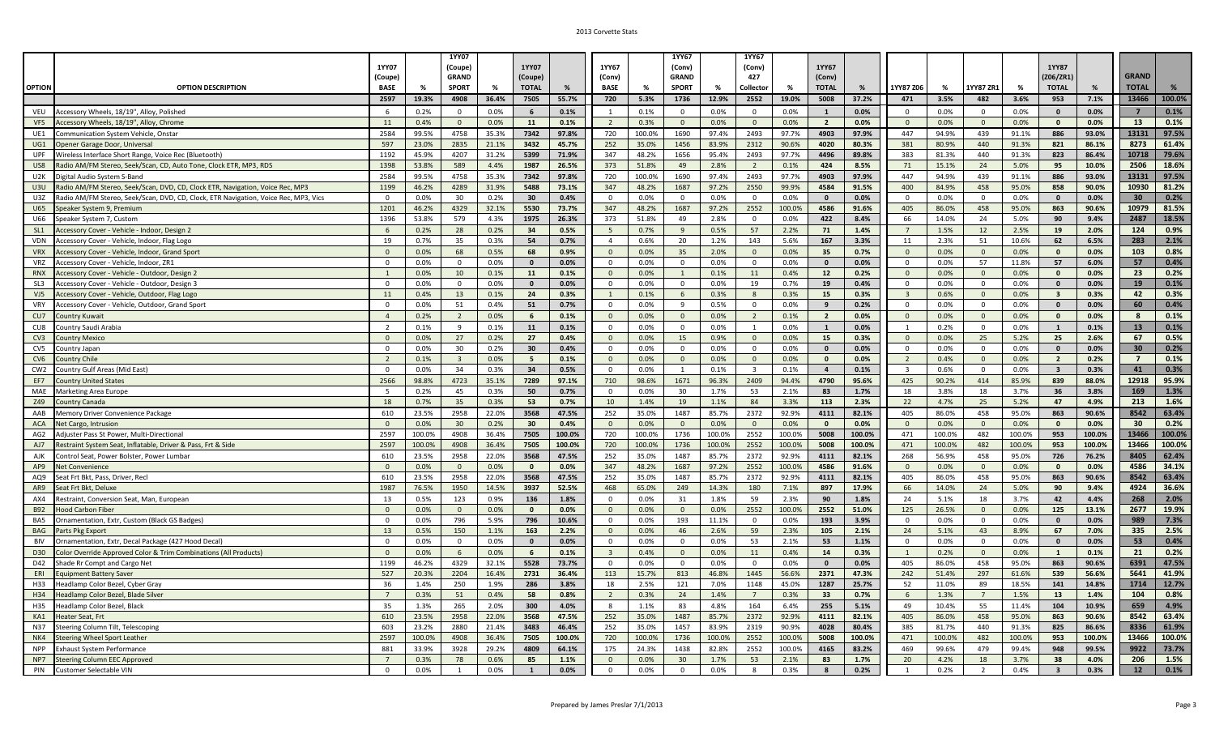|                   |                                                                                     |                                  |               | <b>1YY07</b>            |              |                  |               |                                |               | 1YY67                  |               | 1YY67                          |              |                                |               |                                |               |                             |              |                              |              |                 |               |
|-------------------|-------------------------------------------------------------------------------------|----------------------------------|---------------|-------------------------|--------------|------------------|---------------|--------------------------------|---------------|------------------------|---------------|--------------------------------|--------------|--------------------------------|---------------|--------------------------------|---------------|-----------------------------|--------------|------------------------------|--------------|-----------------|---------------|
|                   |                                                                                     | 1YY07<br>(Coupe)                 |               | (Coupe)<br><b>GRAND</b> |              | 1YY07<br>(Coupe) |               | 1YY67<br>(Conv)                |               | (Conv)<br><b>GRAND</b> |               | (Conv)<br>427                  |              | 1YY67<br>(Conv)                |               |                                |               |                             |              | <b>1YY87</b><br>(Z06/ZR1)    |              | <b>GRAND</b>    |               |
| <b>OPTION</b>     | <b>OPTION DESCRIPTION</b>                                                           | <b>BASE</b>                      | %             | <b>SPORT</b>            | %            | <b>TOTAL</b>     | %             | <b>BASE</b>                    | %             | <b>SPORT</b>           | %             | Collector                      | %            | <b>TOTAL</b>                   | %             | 1YY87 Z06                      | %             | YY87 ZR:                    | %            | <b>TOTAL</b>                 | %            | <b>TOTAL</b>    |               |
|                   |                                                                                     | 2597                             | 19.3%         | 4908                    | 36.4%        | 7505             | 55.7%         | 720                            | 5.3%          | 1736                   | 12.9%         | 2552                           | 19.0%        | 5008                           | 37.2%         | 471                            | 3.5%          | 482                         | 3.6%         | 953                          | 7.1%         | 13466           | 100.0%        |
|                   | Accessory Wheels, 18/19", Alloy, Polished                                           |                                  |               | $\Omega$                |              | 6                | 0.1%          | $\overline{1}$                 |               | $\mathbf{0}$           | 0.0%          | $\Omega$                       |              |                                | 0.0%          | $\mathbf 0$                    |               | $\Omega$                    | 0.0%         | $\mathbf{0}$                 |              | $\overline{7}$  | 0.1%          |
| VEU<br><b>VFS</b> | Accessory Wheels, 18/19", Alloy, Chrome                                             | 6<br>11                          | 0.2%<br>0.4%  | $\Omega$                | 0.0%<br>0.0% | 11               | 0.1%          | $\overline{2}$                 | 0.1%<br>0.3%  | $\mathbf{0}$           | 0.0%          | $\overline{0}$                 | 0.0%<br>0.0% | $\mathbf{1}$<br>$\overline{2}$ | 0.0%          | $\overline{0}$                 | 0.0%<br>0.0%  | $\mathbf{0}$                | 0.0%         | $\mathbf{0}$                 | 0.0%<br>0.0% | 13              | 0.1%          |
| UE1               | Communication System Vehicle, Onstar                                                | 2584                             | 99.5%         | 4758                    | 35.3%        | 7342             | 97.8%         | 720                            | 100.0%        | 1690                   | 97.4%         | 2493                           | 97.7%        | 4903                           | 97.9%         | 447                            | 94.9%         | 439                         | 91.1%        | 886                          | 93.0%        | 13131           | 97.5%         |
| UG1               | Opener Garage Door, Universal                                                       | 597                              | 23.0%         | 2835                    | 21.1%        | 3432             | 45.7%         | 252                            | 35.0%         | 1456                   | 83.9%         | 2312                           | 90.6%        | 4020                           | 80.3%         | 381                            | 80.9%         | 440                         | 91.3%        | 821                          | 86.1%        | 8273            | 61.4%         |
| <b>UPF</b>        | Wireless Interface Short Range, Voice Rec (Bluetooth)                               | 1192                             | 45.9%         | 4207                    | 31.2%        | 5399             | 71.9%         | 347                            | 48.2%         | 1656                   | 95.4%         | 2493                           | 97.7%        | 4496                           | 89.8%         | 383                            | 81.3%         | 440                         | 91.3%        | 823                          | 86.4%        | 10718           | 79.6%         |
| US8               | Radio AM/FM Stereo, Seek/Scan, CD, Auto Tone, Clock ETR, MP3, RDS                   | 1398                             | 53.8%         | 589                     | 4.4%         | 1987             | 26.5%         | 373                            | 51.8%         | 49                     | 2.8%          | $\overline{2}$                 | 0.1%         | 424                            | 8.5%          | 71                             | 15.1%         | 24                          | 5.0%         | 95                           | 10.0%        | 2506            | 18.6%         |
| U2K               | Digital Audio System S-Band                                                         | 2584                             | 99.5%         | 4758                    | 35.3%        | 7342             | 97.8%         | 720                            | 100.0%        | 1690                   | 97.4%         | 2493                           | 97.7%        | 4903                           | 97.9%         | 447                            | 94.9%         | 439                         | 91.1%        | 886                          | 93.0%        | 13131           | 97.5%         |
| U3U               | Radio AM/FM Stereo, Seek/Scan, DVD, CD, Clock ETR, Navigation, Voice Rec, MP3       | 1199                             | 46.2%         | 4289                    | 31.9%        | 5488             | 73.1%         | 347                            | 48.2%         | 1687                   | 97.2%         | 2550                           | 99.9%        | 4584                           | 91.5%         | 400                            | 84.9%         | 458                         | 95.0%        | 858                          | 90.0%        | 10930           | 81.2%         |
| U3Z               | Radio AM/FM Stereo, Seek/Scan, DVD, CD, Clock, ETR Navigation, Voice Rec, MP3, Vics | $\mathbf{0}$                     | 0.0%          | 30                      | 0.2%         | 30               | 0.4%          | $\Omega$                       | 0.0%          | $\overline{0}$         | 0.0%          | $\Omega$                       | 0.0%         | $\mathbf{0}$                   | 0.0%          | $\overline{0}$                 | 0.0%          | $\overline{0}$              | 0.0%         | $\mathbf{0}$                 | 0.0%         | 30              | 0.2%          |
| <b>U65</b>        | Speaker System 9, Premium                                                           | 1201                             | 46.2%         | 4329                    | 32.1%        | 5530             | 73.7%         | 347                            | 48.2%         | 1687                   | 97.2%         | 2552                           | 100.0%       | 4586                           | 91.6%         | 405                            | 86.0%         | 458                         | 95.0%        | 863                          | 90.6%        | 10979           | 81.5%         |
| U66               | Speaker System 7, Custom                                                            | 1396                             | 53.8%         | 579                     | 4.3%         | 1975             | 26.3%         | 373                            | 51.8%         | 49                     | 2.8%          | $\mathbf{0}$                   | 0.0%         | 422                            | 8.4%          | 66                             | 14.0%         | 24                          | 5.0%         | 90                           | 9.4%         | 2487            | 18.5%         |
| SL1               | Accessory Cover - Vehicle - Indoor, Design 2                                        | 6                                | 0.2%          | 28                      | 0.2%         | 34               | 0.5%          | $5\overline{5}$                | 0.7%          | 9                      | 0.5%          | 57                             | 2.2%         | 71                             | 1.4%          | $7\overline{ }$                | 1.5%          | 12                          | 2.5%         | 19                           | 2.0%         | 124             | 0.9%          |
| <b>VDN</b>        | Accessory Cover - Vehicle, Indoor, Flag Logo                                        | 19                               | 0.7%          | 35                      | 0.3%         | 54               | 0.7%          | $\overline{4}$                 | 0.6%          | 20                     | 1.2%          | 143                            | 5.6%         | 167                            | 3.3%          | 11                             | 2.3%          | 51                          | 10.6%        | 62                           | 6.5%         | 283             | 2.1%          |
| <b>VRX</b>        | Accessory Cover - Vehicle, Indoor, Grand Sport                                      | $\overline{0}$                   | 0.0%          | 68                      | 0.5%         | 68               | 0.9%          | $\overline{0}$                 | 0.0%          | 35                     | 2.0%          | $\overline{0}$                 | 0.0%         | 35                             | 0.7%          | $\mathbf{0}$                   | 0.0%          | $\overline{0}$              | 0.0%         | $\Omega$                     | 0.0%         | 103             | 0.8%          |
| <b>VRZ</b>        | Accessory Cover - Vehicle, Indoor, ZR:                                              | $\mathbf 0$                      | 0.0%          | $\mathbf{0}$            | 0.0%         | $\mathbf{0}$     | 0.0%          | $\mathbf 0$                    | 0.0%          | $\mathbf{0}$           | 0.0%          | $\overline{0}$                 | 0.0%         | $\mathbf{0}$                   | 0.0%          | $\overline{0}$                 | 0.0%          | 57                          | 11.8%        | 57                           | 6.0%         | 57              | 0.4%          |
| <b>RNX</b>        | Accessory Cover - Vehicle - Outdoor, Design 2                                       | $\overline{1}$                   | 0.0%          | 10                      | 0.1%         | 11               | 0.1%          | $\overline{0}$                 | 0.0%          | $\overline{1}$         | 0.1%          | 11                             | 0.4%         | 12                             | 0.2%          | $\overline{0}$                 | 0.0%          | $\overline{0}$              | 0.0%         | $\Omega$                     | 0.0%         | 23              | 0.2%          |
| SL3               | Accessory Cover - Vehicle - Outdoor, Design 3                                       | $\mathbf 0$                      | 0.0%          | $\mathbf 0$             | 0.0%         | $\mathbf{0}$     | 0.0%          | $\Omega$                       | 0.0%          | $\mathbf{0}$           | 0.0%          | 19                             | 0.7%         | 19                             | 0.4%          | $\mathbf{0}$                   | 0.0%          | $\mathbf 0$                 | 0.0%         | $\mathbf{0}$                 | 0.0%         | 19              | 0.1%          |
| VJ5               | Accessory Cover - Vehicle, Outdoor, Flag Logo                                       | 11                               | 0.4%          | 13                      | 0.1%         | 24               | 0.3%          | 1                              | 0.1%          | 6                      | 0.3%          | 8                              | 0.3%         | 15<br>9                        | 0.3%          | $\overline{3}$                 | 0.6%          | $\mathbf{0}$                | 0.0%         | $\overline{\mathbf{3}}$      | 0.3%         | 42              | 0.3%<br>0.4%  |
| VRY               | Accessory Cover - Vehicle, Outdoor, Grand Sport                                     | $\mathbf 0$                      | 0.0%          | 51                      | 0.4%<br>0.0% | 51               | 0.7%          | $\overline{0}$                 | 0.0%          | 9<br>$\Omega$          | 0.5%          | $\mathbf 0$                    | 0.0%         |                                | 0.2%          | $\mathbf 0$                    | 0.0%          | $\mathbf 0$                 | 0.0%         |                              | 0.0%         | 60<br>8         | 0.1%          |
| CU7<br>CU8        | Country Kuwait<br>Country Saudi Arabia                                              | $\overline{4}$<br>$\overline{2}$ | 0.2%<br>0.1%  | $\overline{2}$<br>9     | 0.1%         | 6<br>11          | 0.1%<br>0.1%  | $\mathbf{0}$<br>$\overline{0}$ | 0.0%<br>0.0%  | $\mathbf 0$            | 0.0%<br>0.0%  | $\overline{2}$<br>$\mathbf{1}$ | 0.1%<br>0.0% | $\overline{2}$<br>$\mathbf{1}$ | 0.0%<br>0.0%  | $\overline{0}$<br>$\mathbf{1}$ | 0.0%<br>0.2%  | $\mathbf{0}$<br>$\mathbf 0$ | 0.0%<br>0.0% | $\mathbf{0}$<br>$\mathbf{1}$ | 0.0%<br>0.1% | 13              | 0.1%          |
| CV3               | <b>Country Mexicc</b>                                                               | $\overline{0}$                   | 0.0%          | 27                      | 0.2%         | 27               | 0.4%          | $\overline{0}$                 | 0.0%          | 15                     | 0.9%          | $\overline{0}$                 | 0.0%         | 15                             | 0.3%          | $\overline{0}$                 | 0.0%          | 25                          | 5.2%         | 25                           | 2.6%         | 67              | 0.5%          |
| CV <sub>5</sub>   | Country Japan                                                                       | $\Omega$                         | 0.0%          | 30                      | 0.2%         | 30               | 0.4%          | $\Omega$                       | 0.0%          | $\Omega$               | 0.0%          | $\Omega$                       | 0.0%         | $\mathbf{0}$                   | $0.0\%$       | $\Omega$                       | 0.0%          | $\Omega$                    | 0.0%         | $\Omega$                     | 0.0%         | 30              | 0.2%          |
| CV <sub>6</sub>   | <b>Country Chile</b>                                                                | $\overline{2}$                   | 0.1%          | $\overline{3}$          | 0.0%         | 5                | 0.1%          | $\overline{0}$                 | 0.0%          | $\overline{0}$         | 0.0%          | $\overline{0}$                 | 0.0%         | $\mathbf{0}$                   | 0.0%          | $\overline{2}$                 | 0.4%          | $\overline{0}$              | 0.0%         | $\overline{2}$               | 0.2%         | $\overline{7}$  | 0.1%          |
| CW <sub>2</sub>   | Country Gulf Areas (Mid East)                                                       | $\overline{0}$                   | 0.0%          | 34                      | 0.3%         | 34               | 0.5%          | $\overline{0}$                 | 0.0%          | $\mathbf{1}$           | 0.1%          | $\overline{3}$                 | 0.1%         | $\overline{4}$                 | 0.1%          | $\mathbf{3}$                   | 0.6%          | $\overline{0}$              | 0.0%         | $\overline{\mathbf{3}}$      | 0.3%         | 41              | 0.3%          |
| EF7               | <b>Country United States</b>                                                        | 2566                             | 98.8%         | 4723                    | 35.1%        | 7289             | 97.1%         | 710                            | 98.6%         | 1671                   | 96.3%         | 2409                           | 94.4%        | 4790                           | 95.6%         | 425                            | 90.2%         | 414                         | 85.9%        | 839                          | 88.0%        | 12918           | 95.9%         |
| MAE               | Marketing Area Europe                                                               | 5                                | 0.2%          | 45                      | 0.3%         | 50               | 0.7%          | $\mathbf 0$                    | 0.0%          | 30                     | 1.7%          | 53                             | 2.1%         | 83                             | 1.7%          | 18                             | 3.8%          | 18                          | 3.7%         | 36                           | 3.8%         | 169             | 1.3%          |
| Z49               | Country Canada                                                                      | 18                               | 0.7%          | 35                      | 0.3%         | 53               | 0.7%          | 10                             | 1.4%          | 19                     | 1.1%          | 84                             | 3.3%         | 113                            | 2.3%          | 22                             | 4.7%          | 25                          | 5.2%         | 47                           | 4.9%         | 213             | 1.6%          |
| AAB               | Memory Driver Convenience Package                                                   | 610                              | 23.5%         | 2958                    | 22.0%        | 3568             | 47.5%         | 252                            | 35.0%         | 1487                   | 85.7%         | 2372                           | 92.9%        | 4111                           | 82.1%         | 405                            | 86.0%         | 458                         | 95.0%        | 863                          | 90.6%        | 8542            | 63.4%         |
| ACA               | Net Cargo, Intrusion                                                                | $\overline{0}$                   | 0.0%          | 30                      | 0.2%         | 30               | 0.4%          | $\overline{0}$                 | 0.0%          | $\Omega$               | 0.0%          | $\overline{0}$                 | 0.0%         | $\Omega$                       | 0.0%          | $\mathbf{0}$                   | 0.0%          | $\overline{0}$              | 0.0%         | $\Omega$                     | 0.0%         | 30 <sup>°</sup> | 0.2%          |
| AG <sub>2</sub>   | Adjuster Pass St Power, Multi-Directional                                           | 2597                             | 100.0%        | 4908                    | 36.4%        | 7505             | 100.0%        | 720                            | 100.0%        | 1736                   | 100.0%        | 2552                           | 100.0%       | 5008                           | 100.0%        | 471                            | 100.0%        | 482                         | 100.0%       | 953                          | 100.0%       | 13466           | 100.0%        |
| AJ7               | Restraint System Seat, Inflatable, Driver & Pass, Frt & Side                        | 2597                             | 100.0%        | 4908                    | 36.4%        | 7505             | 100.0%        | 720                            | 100.0%        | 1736                   | 100.0%        | 2552                           | 100.0%       | 5008                           | 100.0%        | 471                            | 100.0%        | 482                         | 100.0%       | 953                          | 100.0%       | 13466           | 100.0%        |
| AJK               | Control Seat, Power Bolster, Power Lumbar                                           | 610                              | 23.5%         | 2958                    | 22.0%        | 3568             | 47.5%         | 252                            | 35.0%         | 1487                   | 85.7%         | 2372                           | 92.9%        | 4111                           | 82.1%         | 268                            | 56.9%         | 458                         | 95.0%        | 726                          | 76.2%        | 8405            | 62.4%         |
| AP9               | Net Convenience                                                                     | $\overline{0}$                   | 0.0%          | $\Omega$                | 0.0%         | $\mathbf{0}$     | 0.0%          | 347                            | 48.2%         | 1687                   | 97.2%         | 2552                           | 100.0%       | 4586                           | 91.6%         | $\overline{0}$                 | 0.0%          | $\mathbf{0}$                | 0.0%         | $\mathbf{0}$                 | 0.0%         | 4586            | 34.1%         |
| AQ9               | Seat Frt Bkt, Pass, Driver, Recl                                                    | 610                              | 23.5%         | 2958                    | 22.0%        | 3568             | 47.5%         | 252                            | 35.0%         | 1487                   | 85.7%         | 2372                           | 92.9%        | 4111                           | 82.1%         | 405                            | 86.0%         | 458                         | 95.0%        | 863                          | 90.6%        | 8542            | 63.4%         |
| AR9<br>AX4        | Seat Frt Bkt. Deluxe                                                                | 1987                             | 76.5%<br>0.5% | 1950                    | 14.5%        | 3937<br>136      | 52.5%<br>1.8% | 468<br>$\overline{0}$          | 65.0%<br>0.0% | 249<br>31              | 14.3%<br>1.8% | 180                            | 7.1%<br>2.3% | 897<br>90                      | 17.9%         | 66<br>24                       | 14.0%         | 24                          | 5.0%         | 90<br>42                     | 9.4%<br>4.4% | 4924<br>268     | 36.6%<br>2.0% |
| <b>B92</b>        | Restraint, Conversion Seat, Man, European<br><b>Hood Carbon Fiber</b>               | 13<br>$\overline{0}$             | 0.0%          | 123<br>$\Omega$         | 0.9%<br>0.0% | $\mathbf{0}$     | 0.0%          | $\overline{0}$                 | 0.0%          | $\Omega$               | 0.0%          | 59<br>2552                     | 100.0%       | 2552                           | 1.8%<br>51.0% | 125                            | 5.1%<br>26.5% | 18<br>$\overline{0}$        | 3.7%<br>0.0% | 125                          | 13.1%        | 2677            | 19.9%         |
| BA5               | Ornamentation, Extr, Custom (Black GS Badges)                                       | $\mathbf{0}$                     | 0.0%          | 796                     | 5.9%         | 796              | 10.6%         | $\mathbf{0}$                   | 0.0%          | 193                    | 11.1%         | $\mathbf{0}$                   | 0.0%         | 193                            | 3.9%          | $\Omega$                       | 0.0%          | $\mathbf{0}$                | 0.0%         | $\Omega$                     | 0.0%         | 989             | 7.3%          |
| BAG               | Parts Pkg Export                                                                    | 13                               | 0.5%          | 150                     | 1.1%         | 163              | 2.2%          | $\overline{0}$                 | 0.0%          | 46                     | 2.6%          | 59                             | 2.3%         | 105                            | 2.1%          | 24                             | 5.1%          | 43                          | 8.9%         | 67                           | 7.0%         | 335             | 2.5%          |
| <b>BIV</b>        | Ornamentation, Extr, Decal Package (427 Hood Decal)                                 | $\mathbf{0}$                     | 0.0%          | $\mathbf{0}$            | 0.0%         | $\mathbf{0}$     | 0.0%          | $\overline{0}$                 | 0.0%          | $\overline{0}$         | 0.0%          | 53                             | 2.1%         | 53                             | 1.1%          | $\mathbf{0}$                   | 0.0%          | $\overline{0}$              | 0.0%         | $\mathbf{0}$                 | 0.0%         | 53              | 0.4%          |
| D30               | Color Override Approved Color & Trim Combinations (All Products)                    | $\mathbf{0}$                     | 0.0%          | 6                       | 0.0%         | 6                | 0.1%          | $\overline{3}$                 | 0.4%          | $\overline{0}$         | 0.0%          | 11                             | 0.4%         | 14                             | 0.3%          | $\mathbf{1}$                   | 0.2%          | $\overline{0}$              | 0.0%         | $\mathbf{1}$                 | 0.1%         | 21              | 0.2%          |
| D42               | Shade Rr Compt and Cargo Net                                                        | 1199                             | 46.2%         | 4329                    | 32.1%        | 5528             | 73.7%         | $\Omega$                       | 0.0%          | $\Omega$               | 0.0%          | $\overline{0}$                 | 0.0%         | $\mathbf{0}$                   | 0.0%          | 405                            | 86.0%         | 458                         | 95.0%        | 863                          | 90.6%        | 6391            | 47.5%         |
| ERI               | <b>Equipment Battery Saver</b>                                                      | 527                              | 20.3%         | 2204                    | 16.4%        | 2731             | 36.4%         | 113                            | 15.7%         | 813                    | 46.8%         | 1445                           | 56.6%        | 2371                           | 47.3%         | 242                            | 51.4%         | 297                         | 61.6%        | 539                          | 56.6%        | 5641            | 41.9%         |
| H33               | Headlamp Color Bezel, Cyber Gray                                                    | 36                               | 1.4%          | 250                     | 1.9%         | 286              | 3.8%          | 18                             | 2.5%          | 121                    | 7.0%          | 1148                           | 45.0%        | 1287                           | 25.7%         | 52                             | 11.0%         | 89                          | 18.5%        | 141                          | 14.8%        | 1714            | 12.7%         |
| H34               | Headlamp Color Bezel, Blade Silver                                                  | $\overline{7}$                   | 0.3%          | 51                      | 0.4%         | 58               | 0.8%          | $\overline{2}$                 | 0.3%          | 24                     | 1.4%          | $\overline{7}$                 | 0.3%         | 33                             | 0.7%          | 6                              | 1.3%          | $\overline{7}$              | 1.5%         | 13                           | 1.4%         | 104             | 0.8%          |
| H35               | Headlamp Color Bezel, Black                                                         | 35                               | 1.3%          | 265                     | 2.0%         | 300              | 4.0%          | 8                              | 1.1%          | 83                     | 4.8%          | 164                            | 6.4%         | 255                            | 5.1%          | 49                             | 10.4%         | 55                          | 11.4%        | 104                          | 10.9%        | 659             | 4.9%          |
| KA1               | leater Seat, Frt                                                                    | 610                              | 23.5%         | 2958                    | 22.0%        | 3568             | 47.5%         | 252                            | 35.0%         | 1487                   | 85.7%         | 2372                           | 92.9%        | 4111                           | 82.1%         | 405                            | 86.0%         | 458                         | 95.0%        | 863                          | 90.6%        | 8542            | 63.4%         |
| <b>N37</b>        | Steering Column Tilt, Telescoping                                                   | 603                              | 23.2%         | 2880                    | 21.4%        | 3483             | 46.4%         | 252                            | 35.0%         | 1457                   | 83.9%         | 2319                           | 90.9%        | 4028                           | 80.4%         | 385                            | 81.7%         | 440                         | 91.3%        | 825                          | 86.6%        | 8336            | 61.9%         |
| NK4               | <b>Steering Wheel Sport Leather</b>                                                 | 2597                             | 100.0%        | 4908                    | 36.4%        | 7505             | 100.0%        | 720                            | 100.0%        | 1736                   | 100.0%        | 2552                           | 100.0%       | 5008                           | 100.0%        | 471                            | 100.0%        | 482                         | 100.0%       | 953                          | 100.0%       | 13466           | 100.0%        |
| <b>NPP</b>        | Exhaust System Performance                                                          | 881                              | 33.9%         | 3928                    | 29.2%        | 4809             | 64.1%         | 175                            | 24.3%         | 1438                   | 82.8%         | 2552                           | 100.0%       | 4165                           | 83.2%         | 469                            | 99.6%         | 479                         | 99.4%        | 948                          | 99.5%        | 9922            | 73.7%         |
| NP7               | <b>Steering Column EEC Approved</b>                                                 | $\overline{7}$                   | 0.3%          | 78                      | 0.6%         | 85               | 1.1%          | $\Omega$                       | 0.0%          | 30 <sup>°</sup>        | 1.7%          | 53                             | 2.1%         | 83                             | 1.7%          | 20                             | 4.2%          | 18                          | 3.7%         | 38                           | 4.0%         | 206             | 1.5%          |
| <b>PIN</b>        | Customer Selectable VIN                                                             | $\mathbf{0}$                     | 0.0%          | $\overline{1}$          | 0.0%         |                  | 0.0%          | $\Omega$                       | 0.0%          | $\Omega$               | 0.0%          | $\mathbf{8}$                   | 0.3%         | $\mathbf{R}$                   | 0.2%          | $\overline{1}$                 | 0.2%          | $\overline{2}$              | 0.4%         | $\overline{\mathbf{3}}$      | 0.3%         | 12              | 0.1%          |